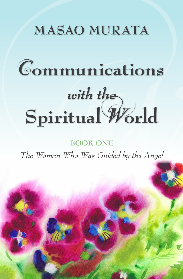## **MASAO MURATA**

# piritual World C**ommunications** *with the* **Spiritual** W**orld**

**BOOK ONE**

*The Woman Who Was Guided by the Angel*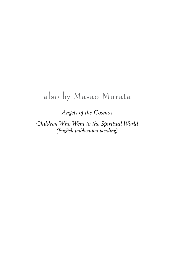#### also by Masao Murata

*Angels of the Cosmos*

*Children Who Went to the Spiritual World (English publication pending)*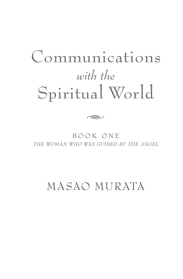## Communications *with the* Spiritual World

b o o k o n e *the woman who was guided by the angel*

ha Sarajara (1983) (K. 1983) (K. 1983) era (1983) era dende toppa (1983) era den daga dengan portoko (1983) er<br>Den Sarajara (1984) era (1983) era (1983) era (1984) era (1984) era (1984) era (1984) era (1984) era (1984) er<br>

MASAO MURATA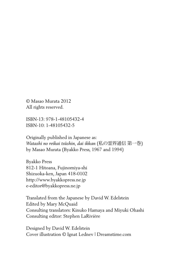© Masao Murata 2012 All rights reserved.

ISBN-13: 978-1-48105432-4 ISBN-10: 1-48105432-5

Originally published in Japanese as: *Watashi no reikai tsûshin, dai ikkan* (私の霊界通信 第一巻) by Masao Murata (Byakko Press, 1967 and 1994)

Byakko Press 812-1 Hitoana, Fujinomiya-shi Shizuoka-ken, Japan 418-0102 http://www.byakkopress.ne.jp e-editor@byakkopress.ne.jp

Translated from the Japanese by David W. Edelstein Edited by Mary McQuaid Consulting translators: Kinuko Hamaya and Miyuki Ohashi Consulting editor: Stephen LaRivière

Designed by David W. Edelstein Cover illustration © Ignat Lednev | Dreamstime.com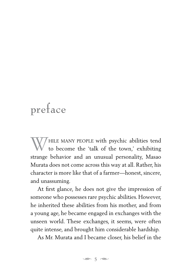## preface

 $\mathcal T$ HILE MANY PEOPLE with psychic abilities tend to become the 'talk of the town,' exhibiting strange behavior and an unusual personality, Masao Murata does not come across this way at all. Rather, his character is more like that of a farmer—honest, sincere, and unassuming.

At first glance, he does not give the impression of someone who possesses rare psychic abilities. However, he inherited these abilities from his mother, and from a young age, he became engaged in exchanges with the unseen world. These exchanges, it seems, were often quite intense, and brought him considerable hardship.

As Mr. Murata and I became closer, his belief in the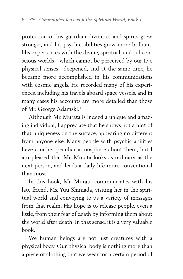protection of his guardian divinities and spirits grew stronger, and his psychic abilities grew more brilliant. His experiences with the divine, spiritual, and subconscious worlds—which cannot be perceived by our five physical senses—deepened, and at the same time, he became more accomplished in his communications with cosmic angels. He recorded many of his experiences, including his travels aboard space vessels, and in many cases his accounts are more detailed than those of Mr. George Adamski.<sup>1</sup>

Although Mr. Murata is indeed a unique and amazing individual, I appreciate that he shows not a hint of that uniqueness on the surface, appearing no different from anyone else. Many people with psychic abilities have a rather peculiar atmosphere about them, but I am pleased that Mr. Murata looks as ordinary as the next person, and leads a daily life more conventional than most.

In this book, Mr. Murata communicates with his late friend, Ms. Yuu Shimada, visiting her in the spiritual world and conveying to us a variety of messages from that realm. His hope is to release people, even a little, from their fear of death by informing them about the world after death. In that sense, it is a very valuable book.

We human beings are not just creatures with a physical body. Our physical body is nothing more than a piece of clothing that we wear for a certain period of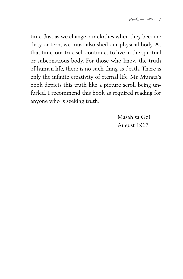time. Just as we change our clothes when they become dirty or torn, we must also shed our physical body. At that time, our true self continues to live in the spiritual or subconscious body. For those who know the truth of human life, there is no such thing as death. There is only the infinite creativity of eternal life. Mr. Murata's book depicts this truth like a picture scroll being unfurled. I recommend this book as required reading for anyone who is seeking truth.

> Masahisa Goi August 1967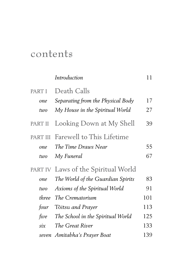### contents

|                        | Introduction                                                                        | 11       |
|------------------------|-------------------------------------------------------------------------------------|----------|
| PART I<br>one<br>two   | Death Calls<br>Separating from the Physical Body<br>My House in the Spiritual World | 17<br>27 |
| PART II                | Looking Down at My Shell                                                            | 39       |
| PART III<br>one<br>two | Farewell to This Lifetime<br>The Time Draws Near<br>My Funeral                      | 55<br>67 |
|                        | PART IV Laws of the Spiritual World                                                 |          |
| one                    | The World of the Guardian Spirits                                                   | 83       |
| two                    | Axioms of the Spiritual World                                                       | 91       |
| three                  | The Crematorium                                                                     | 101      |
| four                   | Tôitsu and Prayer                                                                   | 113      |
| five                   | The School in the Spiritual World                                                   | 125      |
| $\sin x$               | The Great River                                                                     | 133      |
|                        | seven Amitabha's Prayer Boat                                                        | 139      |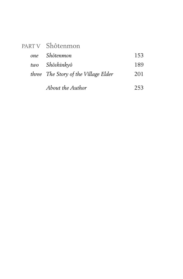| PARTV Shôtenmon                      |     |
|--------------------------------------|-----|
| one Shôtenmon                        | 153 |
| two Shôshinkyô                       | 189 |
| three The Story of the Village Elder | 201 |
| About the Author                     | 253 |

*About the Author* [253](#page--1-5)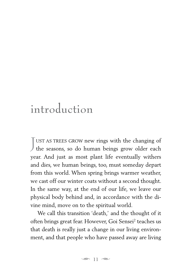## <span id="page-10-0"></span>introduction

J UST AS TREES GROW new rings with the changing of the seasons, so do human beings grow older each year. And just as most plant life eventually withers and dies, we human beings, too, must someday depart from this world. When spring brings warmer weather, we cast off our winter coats without a second thought. In the same way, at the end of our life, we leave our physical body behind and, in accordance with the divine mind, move on to the spiritual world.

We call this transition 'death,' and the thought of it often brings great fear. However, Goi Sensei<sup>[2](#page--1-6)</sup> teaches us that death is really just a change in our living environment, and that people who have passed away are living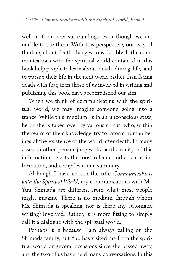well in their new surroundings, even though we are unable to see them. With this perspective, our way of thinking about death changes considerably. If the communications with the spiritual world contained in this book help people to learn about 'death' during 'life,' and to pursue their life in the next world rather than facing death with fear, then those of us involved in writing and publishing this book have accomplished our aim.

When we think of communicating with the spiritual world, we may imagine someone going into a trance. While this 'medium' is in an unconscious state, he or she is taken over by various spirits, who, within the realm of their knowledge, try to inform human beings of the existence of the world after death. In many cases, another person judges the authenticity of this information, selects the most reliable and essential information, and compiles it in a summary.

Although I have chosen the title *Communications with the Spiritual World*, my communications with Ms. Yuu Shimada are different from what most people might imagine. There is no medium through whom Ms. Shimada is speaking, nor is there any automatic writing[3](#page--1-7) involved. Rather, it is more fitting to simply call it a dialogue with the spiritual world.

Perhaps it is because I am always calling on the Shimada family, but Yuu has visited me from the spiritual world on several occasions since she passed away, and the two of us have held many conversations. In this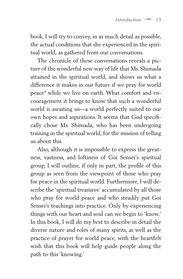book, I will try to convey, in as much detail as possible, the actual conditions that she experienced in the spiritual world, as gathered from our conversations.

The chronicle of these conversations reveals a picture of the wonderful new way of life that Ms. Shimada attained in the spiritual world, and shows us what a difference it makes in our future if we pray for world peac[e4](#page--1-8) while we live on earth. What comfort and encouragement it brings to know that such a wonderful world is awaiting us—a world perfectly suited to our own hopes and aspirations. It seems that God specifically chose Ms. Shimada, who has been undergoing training in the spiritual world, for the mission of telling us about this.

Also, although it is impossible to express the greatness, vastness, and loftiness of Goi Sensei's spiritual group, I will outline, if only in part, the profile of this group as seen from the viewpoint of those who pray for peace in the spiritual world. Furthermore, I will describe the 'spiritual treasures' accumulated by all those who pray for world peace and who steadily put Goi Sensei's teachings into practice. Only by experiencing things with our heart and soul can we begin to 'know.' In this book, I will do my best to describe in detail the diverse nature and roles of many spirits, as well as the practice of prayer for world peace, with the heartfelt wish that this book will help guide people along the path to this 'knowing.'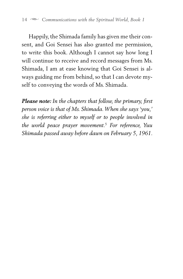Happily, the Shimada family has given me their consent, and Goi Sensei has also granted me permission, to write this book. Although I cannot say how long I will continue to receive and record messages from Ms. Shimada, I am at ease knowing that Goi Sensei is always guiding me from behind, so that I can devote myself to conveying the words of Ms. Shimada.

*Please note: In the chapters that follow, the primary, first person voice is that of Ms. Shimada. When she says 'you,' she is referring either to myself or to people involved in the world peace prayer movement.*[5](#page--1-9)  *For reference, Yuu Shimada passed away before dawn on February 5, 1961.*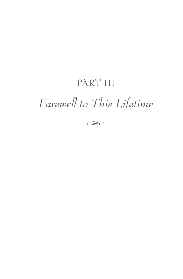#### PART III

## *Farewell to This Lifetime*

ىكى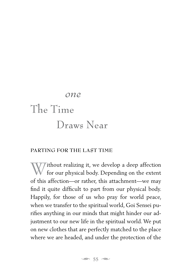## <span id="page-16-0"></span>*one* The Time Draws Near

#### **PARTING FOR THE LAST TIME**

Without realizing it, we develop a deep affection<br>for our physical body. Depending on the extent of this affection—or rather, this attachment—we may find it quite difficult to part from our physical body. Happily, for those of us who pray for world peace, when we transfer to the spiritual world, Goi Sensei purifies anything in our minds that might hinder our adjustment to our new life in the spiritual world. We put on new clothes that are perfectly matched to the place where we are headed, and under the protection of the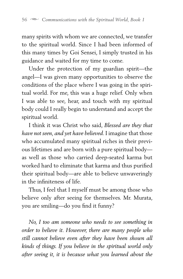many spirits with whom we are connected, we transfer to the spiritual world. Since I had been informed of this many times by Goi Sensei, I simply trusted in his guidance and waited for my time to come.

Under the protection of my guardian spirit—the angel—I was given many opportunities to observe the conditions of the place where I was going in the spiritual world. For me, this was a huge relief. Only when I was able to see, hear, and touch with my spiritual body could I really begin to understand and accept the spiritual world.

I think it was Christ who said, *Blessed are they that have not seen, and yet have believed*. I imagine that those who accumulated many spiritual riches in their previous lifetimes and are born with a pure spiritual body as well as those who carried deep-seated karma but worked hard to eliminate that karma and thus purified their spiritual body—are able to believe unwaveringly in the infiniteness of life.

Thus, I feel that I myself must be among those who believe only after seeing for themselves. Mr. Murata, you are smiling—do you find it funny?

*No, I too am someone who needs to see something in order to believe it. However, there are many people who still cannot believe even after they have been shown all kinds of things. If you believe in the spiritual world only after seeing it, it is because what you learned about the*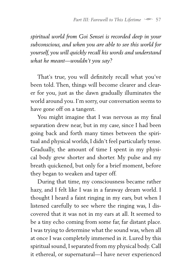*spiritual world from Goi Sensei is recorded deep in your subconscious, and when you are able to see this world for yourself, you will quickly recall his words and understand what he meant—wouldn't you say?*

That's true, you will definitely recall what you've been told. Then, things will become clearer and clearer for you, just as the dawn gradually illuminates the world around you. I'm sorry, our conversation seems to have gone off on a tangent.

You might imagine that I was nervous as my final separation drew near, but in my case, since I had been going back and forth many times between the spiritual and physical worlds, I didn't feel particularly tense. Gradually, the amount of time I spent in my physical body grew shorter and shorter. My pulse and my breath quickened, but only for a brief moment, before they began to weaken and taper off.

During that time, my consciousness became rather hazy, and I felt like I was in a faraway dream world. I thought I heard a faint ringing in my ears, but when I listened carefully to see where the ringing was, I discovered that it was not in my ears at all. It seemed to be a tiny echo coming from some far, far distant place. I was trying to determine what the sound was, when all at once I was completely immersed in it. Lured by this spiritual sound, I separated from my physical body. Call it ethereal, or supernatural—I have never experienced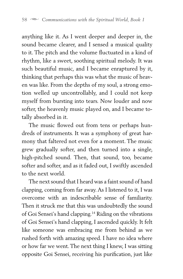anything like it. As I went deeper and deeper in, the sound became clearer, and I sensed a musical quality to it. The pitch and the volume fluctuated in a kind of rhythm, like a sweet, soothing spiritual melody. It was such beautiful music, and I became enraptured by it, thinking that perhaps this was what the music of heaven was like. From the depths of my soul, a strong emotion welled up uncontrollably, and I could not keep myself from bursting into tears. Now louder and now softer, the heavenly music played on, and I became totally absorbed in it.

The music flowed out from tens or perhaps hundreds of instruments. It was a symphony of great harmony that faltered not even for a moment. The music grew gradually softer, and then turned into a single, high-pitched sound. Then, that sound, too, became softer and softer, and as it faded out, I swiftly ascended to the next world.

The next sound that I heard was a faint sound of hand clapping, coming from far away. As I listened to it, I was overcome with an indescribable sense of familiarity. Then it struck me that this was undoubtedly the sound of Goi Sensei's hand clapping.[14](#page--1-10) Riding on the vibrations of Goi Sensei's hand clapping, I ascended quickly. It felt like someone was embracing me from behind as we rushed forth with amazing speed. I have no idea where or how far we went. The next thing I knew, I was sitting opposite Goi Sensei, receiving his purification, just like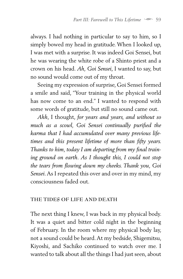always. I had nothing in particular to say to him, so I simply bowed my head in gratitude. When I looked up, I was met with a surprise. It was indeed Goi Sensei, but he was wearing the white robe of a Shinto priest and a crown on his head. *Ah, Goi Sensei*, I wanted to say, but no sound would come out of my throat.

Seeing my expression of surprise, Goi Sensei formed a smile and said, "Your training in the physical world has now come to an end." I wanted to respond with some words of gratitude, but still no sound came out.

*Ahh*, I thought, *for years and years, and without so much as a scowl, Goi Sensei continually purified the karma that I had accumulated over many previous lifetimes and this present lifetime of more than fifty years. Thanks to him, today I am departing from my final training ground on earth. As I thought this, I could not stop the tears from flowing down my cheeks. Thank you, Goi Sensei*. As I repeated this over and over in my mind, my consciousness faded out.

#### **THE TIDES OF LIFE AND DEATH**

The next thing I knew, I was back in my physical body. It was a quiet and bitter cold night in the beginning of February. In the room where my physical body lay, not a sound could be heard. At my bedside, Shigemitsu, Kiyoshi, and Sachiko continued to watch over me. I wanted to talk about all the things I had just seen, about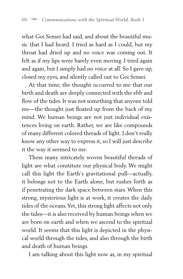what Goi Sensei had said, and about the beautiful music that I had heard. I tried as hard as I could, but my throat had dried up and no voice was coming out. It felt as if my lips were barely even moving. I tried again and again, but I simply had no voice at all. So I gave up, closed my eyes, and silently called out to Goi Sensei.

At that time, the thought occurred to me that our birth and death are deeply connected with the ebb and flow of the tides. It was not something that anyone told me—the thought just floated up from the back of my mind. We human beings are not just individual existences living on earth. Rather, we are like compounds of many different colored threads of light. I don't really know any other way to express it, so I will just describe it the way it seemed to me.

These many intricately woven beautiful threads of light are what constitute our physical body. We might call this light the Earth's gravitational pull—actually, it belongs not to the Earth alone, but rushes forth as if penetrating the dark space between stars. When this strong, mysterious light is at work, it creates the daily tides of the oceans. Yet, this strong light affects not only the tides—it is also received by human beings when we are born on earth and when we ascend to the spiritual world. It seems that this light is depicted in the physical world through the tides, and also through the birth and death of human beings.

I am talking about this light now as, in my spiritual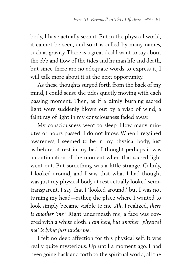body, I have actually seen it. But in the physical world, it cannot be seen, and so it is called by many names, such as gravity. There is a great deal I want to say about the ebb and flow of the tides and human life and death, but since there are no adequate words to express it, I will talk more about it at the next opportunity.

As these thoughts surged forth from the back of my mind, I could sense the tides quietly moving with each passing moment. Then, as if a dimly burning sacred light were suddenly blown out by a wisp of wind, a faint ray of light in my consciousness faded away.

My consciousness went to sleep. How many minutes or hours passed, I do not know. When I regained awareness, I seemed to be in my physical body, just as before, at rest in my bed. I thought perhaps it was a continuation of the moment when that sacred light went out. But something was a little strange. Calmly, I looked around, and I saw that what I had thought was just my physical body at rest actually looked semitransparent. I say that I 'looked around,' but I was not turning my head—rather, the place where I wanted to look simply became visible to me. *Ah*, I realized, *there is another 'me.'* Right underneath me, a face was covered with a white cloth. *I am here, but another, 'physical me' is lying just under me*.

I felt no deep affection for this physical self. It was really quite mysterious. Up until a moment ago, I had been going back and forth to the spiritual world, all the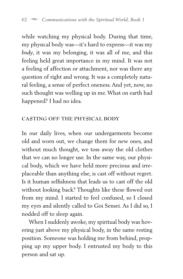while watching my physical body. During that time, my physical body was—it's hard to express—it was my *body*, it was my belonging, it was all of me, and this feeling held great importance in my mind. It was not a feeling of affection or attachment, nor was there any question of right and wrong. It was a completely natural feeling, a sense of perfect oneness. And yet, now, no such thought was welling up in me. What on earth had happened? I had no idea.

#### **CASTING OFF THE PHYSICAL BODY**

In our daily lives, when our undergarments become old and worn out, we change them for new ones, and without much thought, we toss away the old clothes that we can no longer use. In the same way, our physical body, which we have held more precious and irreplaceable than anything else, is cast off without regret. Is it human selfishness that leads us to cast off the old without looking back? Thoughts like these flowed out from my mind. I started to feel confused, so I closed my eyes and silently called to Goi Sensei. As I did so, I nodded off to sleep again.

When I suddenly awoke, my spiritual body was hovering just above my physical body, in the same resting position. Someone was holding me from behind, propping up my upper body. I entrusted my body to this person and sat up.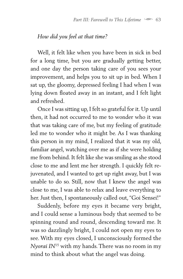#### *How did you feel at that time?*

Well, it felt like when you have been in sick in bed for a long time, but you are gradually getting better, and one day the person taking care of you sees your improvement, and helps you to sit up in bed. When I sat up, the gloomy, depressed feeling I had when I was lying down floated away in an instant, and I felt light and refreshed.

Once I was sitting up, I felt so grateful for it. Up until then, it had not occurred to me to wonder who it was that was taking care of me, but my feeling of gratitude led me to wonder who it might be. As I was thanking this person in my mind, I realized that it was my old, familiar angel, watching over me as if she were holding me from behind. It felt like she was smiling as she stood close to me and lent me her strength. I quickly felt rejuvenated, and I wanted to get up right away, but I was unable to do so. Still, now that I knew the angel was close to me, I was able to relax and leave everything to her. Just then, I spontaneously called out, "Goi Sensei!"

Suddenly, before my eyes it became very bright, and I could sense a luminous body that seemed to be spinning round and round, descending toward me. It was so dazzlingly bright, I could not open my eyes to see. With my eyes closed, I unconsciously formed the *Nyorai IN*[15](#page--1-11) with my hands. There was no room in my mind to think about what the angel was doing.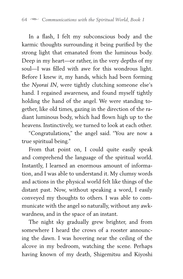In a flash, I felt my subconscious body and the karmic thoughts surrounding it being purified by the strong light that emanated from the luminous body. Deep in my heart—or rather, in the very depths of my soul—I was filled with awe for this wondrous light. Before I knew it, my hands, which had been forming the *Nyorai IN*, were tightly clutching someone else's hand. I regained awareness, and found myself tightly holding the hand of the angel. We were standing together, like old times, gazing in the direction of the radiant luminous body, which had flown high up to the heavens. Instinctively, we turned to look at each other.

"Congratulations," the angel said. "You are now a true spiritual being."

From that point on, I could quite easily speak and comprehend the language of the spiritual world. Instantly, I learned an enormous amount of information, and I was able to understand it. My clumsy words and actions in the physical world felt like things of the distant past. Now, without speaking a word, I easily conveyed my thoughts to others. I was able to communicate with the angel so naturally, without any awkwardness, and in the space of an instant.

The night sky gradually grew brighter, and from somewhere I heard the crows of a rooster announcing the dawn. I was hovering near the ceiling of the alcove in my bedroom, watching the scene. Perhaps having known of my death, Shigemitsu and Kiyoshi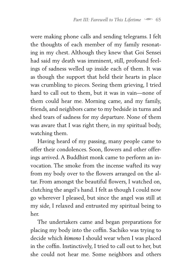were making phone calls and sending telegrams. I felt the thoughts of each member of my family resonating in my chest. Although they knew that Goi Sensei had said my death was imminent, still, profound feelings of sadness welled up inside each of them. It was as though the support that held their hearts in place was crumbling to pieces. Seeing them grieving, I tried hard to call out to them, but it was in vain—none of them could hear me. Morning came, and my family, friends, and neighbors came to my bedside in turns and shed tears of sadness for my departure. None of them was aware that I was right there, in my spiritual body, watching them.

Having heard of my passing, many people came to offer their condolences. Soon, flowers and other offerings arrived. A Buddhist monk came to perform an invocation. The smoke from the incense wafted its way from my body over to the flowers arranged on the altar. From amongst the beautiful flowers, I watched on, clutching the angel's hand. I felt as though I could now go wherever I pleased, but since the angel was still at my side, I relaxed and entrusted my spiritual being to her.

The undertakers came and began preparations for placing my body into the coffin. Sachiko was trying to decide which *kimono* I should wear when I was placed in the coffin. Instinctively, I tried to call out to her, but she could not hear me. Some neighbors and others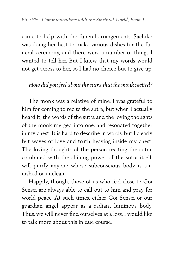came to help with the funeral arrangements. Sachiko was doing her best to make various dishes for the funeral ceremony, and there were a number of things I wanted to tell her. But I knew that my words would not get across to her, so I had no choice but to give up.

#### *How did you feel about the sutra that the monk recited?*

The monk was a relative of mine. I was grateful to him for coming to recite the sutra, but when I actually heard it, the words of the sutra and the loving thoughts of the monk merged into one, and resonated together in my chest. It is hard to describe in words, but I clearly felt waves of love and truth heaving inside my chest. The loving thoughts of the person reciting the sutra, combined with the shining power of the sutra itself, will purify anyone whose subconscious body is tarnished or unclean.

Happily, though, those of us who feel close to Goi Sensei are always able to call out to him and pray for world peace. At such times, either Goi Sensei or our guardian angel appear as a radiant luminous body. Thus, we will never find ourselves at a loss. I would like to talk more about this in due course.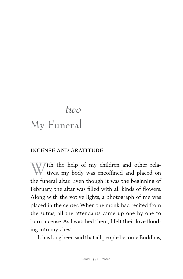## <span id="page-28-0"></span>*two* My Funeral

#### **INCENSE AND GRATITUDE**

With the help of my children and other rela-<br>tives, my body was encoffined and placed on the funeral altar. Even though it was the beginning of February, the altar was filled with all kinds of flowers. Along with the votive lights, a photograph of me was placed in the center. When the monk had recited from the sutras, all the attendants came up one by one to burn incense. As I watched them, I felt their love flooding into my chest.

It has long been said that all people become Buddhas,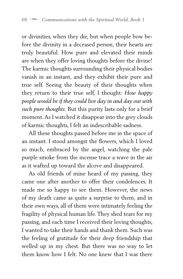or divinities, when they die, but when people bow before the divinity in a deceased person, their hearts are truly beautiful. How pure and elevated their minds are when they offer loving thoughts before the divine! The karmic thoughts surrounding their physical bodies vanish in an instant, and they exhibit their pure and true self. Seeing the beauty of their thoughts when they return to their true self, I thought: *How happy people would be if they could live day in and day out with such pure thoughts*. But this purity lasts only for a brief moment. As I watched it disappear into the grey clouds of karmic thoughts, I felt an indescribable sadness.

All these thoughts passed before me in the space of an instant. I stood amongst the flowers, which I loved so much, embraced by the angel, watching the pale purple smoke from the incense trace a wave in the air as it wafted up toward the alcove and disappeared.

As old friends of mine heard of my passing, they came one after another to offer their condolences. It made me so happy to see them. However, the news of my death came as quite a surprise to them, and in their own ways, all of them were intimately feeling the fragility of physical human life. They shed tears for my passing, and each time I received their loving thoughts, I wanted to take their hands and thank them. Such was the feeling of gratitude for their deep friendship that welled up in my chest. But there was no way to let them know how I felt. No one knew that I was there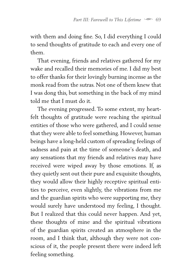with them and doing fine. So, I did everything I could to send thoughts of gratitude to each and every one of them.

That evening, friends and relatives gathered for my wake and recalled their memories of me. I did my best to offer thanks for their lovingly burning incense as the monk read from the sutras. Not one of them knew that I was dong this, but something in the back of my mind told me that I must do it.

The evening progressed. To some extent, my heartfelt thoughts of gratitude were reaching the spiritual entities of those who were gathered, and I could sense that they were able to feel something. However, human beings have a long-held custom of spreading feelings of sadness and pain at the time of someone's death, and any sensations that my friends and relatives may have received were wiped away by those emotions. If, as they quietly sent out their pure and exquisite thoughts, they would allow their highly receptive spiritual entities to perceive, even slightly, the vibrations from me and the guardian spirits who were supporting me, they would surely have understood my feeling, I thought. But I realized that this could never happen. And yet, these thoughts of mine and the spiritual vibrations of the guardian spirits created an atmosphere in the room, and I think that, although they were not conscious of it, the people present there were indeed left feeling something.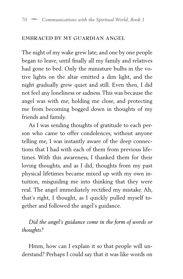#### **EMBRACED BY MY GUARDIAN ANGEL**

The night of my wake grew late, and one by one people began to leave, until finally all my family and relatives had gone to bed. Only the miniature bulbs in the votive lights on the altar emitted a dim light, and the night gradually grew quiet and still. Even then, I did not feel any loneliness or sadness. This was because the angel was with me, holding me close, and protecting me from becoming bogged down in thoughts of my friends and family.

As I was sending thoughts of gratitude to each person who came to offer condolences, without anyone telling me, I was instantly aware of the deep connections that I had with each of them from previous lifetimes. With this awareness, I thanked them for their loving thoughts, and as I did, thoughts from my past physical lifetimes became mixed up with my own intuition, misguiding me into thinking that they were real. The angel immediately rectified my mistake. Ah, that's right, I thought, as I quickly pulled myself together and followed the angel's guidance.

*Did the angel's guidance come in the form of words or thoughts?*

Hmm, how can I explain it so that people will understand? Perhaps I could say that it was like words on